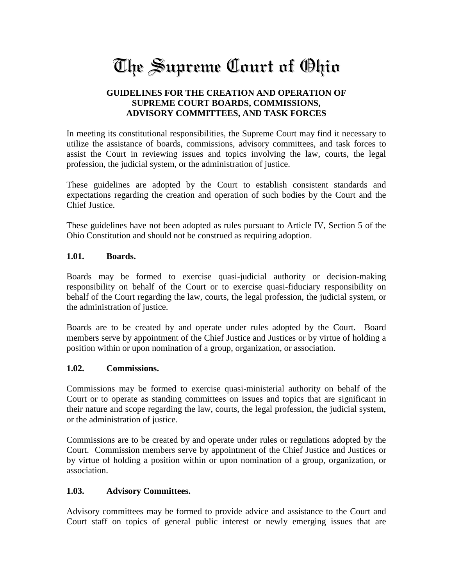# The Supreme Court of Ohio

## **GUIDELINES FOR THE CREATION AND OPERATION OF SUPREME COURT BOARDS, COMMISSIONS, ADVISORY COMMITTEES, AND TASK FORCES**

In meeting its constitutional responsibilities, the Supreme Court may find it necessary to utilize the assistance of boards, commissions, advisory committees, and task forces to assist the Court in reviewing issues and topics involving the law, courts, the legal profession, the judicial system, or the administration of justice.

These guidelines are adopted by the Court to establish consistent standards and expectations regarding the creation and operation of such bodies by the Court and the Chief Justice.

These guidelines have not been adopted as rules pursuant to Article IV, Section 5 of the Ohio Constitution and should not be construed as requiring adoption.

### **1.01. Boards.**

Boards may be formed to exercise quasi-judicial authority or decision-making responsibility on behalf of the Court or to exercise quasi-fiduciary responsibility on behalf of the Court regarding the law, courts, the legal profession, the judicial system, or the administration of justice.

Boards are to be created by and operate under rules adopted by the Court. Board members serve by appointment of the Chief Justice and Justices or by virtue of holding a position within or upon nomination of a group, organization, or association.

### **1.02. Commissions.**

Commissions may be formed to exercise quasi-ministerial authority on behalf of the Court or to operate as standing committees on issues and topics that are significant in their nature and scope regarding the law, courts, the legal profession, the judicial system, or the administration of justice.

Commissions are to be created by and operate under rules or regulations adopted by the Court. Commission members serve by appointment of the Chief Justice and Justices or by virtue of holding a position within or upon nomination of a group, organization, or association.

### **1.03. Advisory Committees.**

Advisory committees may be formed to provide advice and assistance to the Court and Court staff on topics of general public interest or newly emerging issues that are